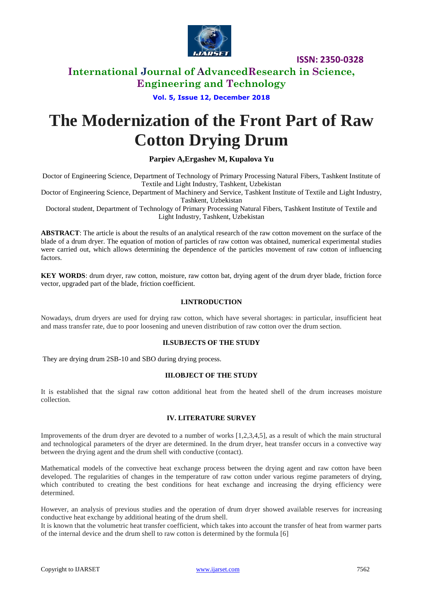

## **International Journal of AdvancedResearch in Science, Engineering and Technology**

**Vol. 5, Issue 12, December 2018**

# **The Modernization of the Front Part of Raw Cotton Drying Drum**

### **Parpiev A,Ergashev M, Kupalova Yu**

Doctor of Engineering Science, Department of Technology of Primary Processing Natural Fibers, Tashkent Institute of Textile and Light Industry, Tashkent, Uzbekistan

Doctor of Engineering Science, Department of Machinery and Service, Tashkent Institute of Textile and Light Industry, Tashkent, Uzbekistan

Doctoral student, Department of Technology of Primary Processing Natural Fibers, Tashkent Institute of Textile and Light Industry, Tashkent, Uzbekistan

**ABSTRACT**: The article is about the results of an analytical research of the raw cotton movement on the surface of the blade of a drum dryer. The equation of motion of particles of raw cotton was obtained, numerical experimental studies were carried out, which allows determining the dependence of the particles movement of raw cotton of influencing factors.

**KEY WORDS**: drum dryer, raw cotton, moisture, raw cotton bat, drying agent of the drum dryer blade, friction force vector, upgraded part of the blade, friction coefficient.

### **I.INTRODUCTION**

Nowadays, drum dryers are used for drying raw cotton, which have several shortages: in particular, insufficient heat and mass transfer rate, due to poor loosening and uneven distribution of raw cotton over the drum section.

### **II.SUBJECTS OF THE STUDY**

They are drying drum 2SB-10 and SBO during drying process.

### **III.OBJECT OF THE STUDY**

It is established that the signal raw cotton additional heat from the heated shell of the drum increases moisture collection.

### **IV. LITERATURE SURVEY**

Improvements of the drum dryer are devoted to a number of works [1,2,3,4,5], as a result of which the main structural and technological parameters of the dryer are determined. In the drum dryer, heat transfer occurs in a convective way between the drying agent and the drum shell with conductive (contact).

Mathematical models of the convective heat exchange process between the drying agent and raw cotton have been developed. The regularities of changes in the temperature of raw cotton under various regime parameters of drying, which contributed to creating the best conditions for heat exchange and increasing the drying efficiency were determined.

However, an analysis of previous studies and the operation of drum dryer showed available reserves for increasing conductive heat exchange by additional heating of the drum shell.

It is known that the volumetric heat transfer coefficient, which takes into account the transfer of heat from warmer parts of the internal device and the drum shell to raw cotton is determined by the formula [6]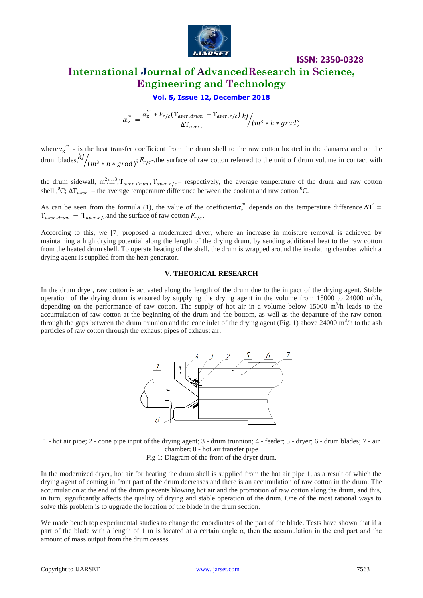

# **ISSN: 2350-0328 International Journal of AdvancedResearch in Science, Engineering and Technology**

### **Vol. 5, Issue 12, December 2018**

 $\alpha_{v}^{'''} = \frac{\alpha_{\kappa}^{'''} * F_{r/c}(\mathrm{T}_{aver\_drum} - \mathrm{T}_{aver\_r/c})}{\Delta \mathrm{T}}$  $\Delta T_{aver}$ . kJ  $\sqrt{(m^3 * h * grad)}$ 

where  $\alpha_{\kappa}^{'''}$  - is the heat transfer coefficient from the drum shell to the raw cotton located in the damarea and on the drum blades, $^{kJ}$  $\sqrt{(m^3 * h * grad)}$ ;  $F_{r/c}$ -,the surface of raw cotton referred to the unit o f drum volume in contact with

the drum sidewall,  $m^2/m^3$ ;  $T_{aver. drum}$ ,  $T_{aver. r/c}$  respectively, the average temperature of the drum and raw cotton shell ,<sup>0</sup>C;  $\Delta T_{aver.}$  – the average temperature difference between the coolant and raw cotton,<sup>0</sup>C.

As can be seen from the formula (1), the value of the coefficient  $\alpha_{\nu}^{'''}$  depends on the temperature difference  $\Delta T'$  $T_{aver. drum} - T_{aver. r/c}$  and the surface of raw cotton  $F_{r/c}$ .

According to this, we [7] proposed a modernized dryer, where an increase in moisture removal is achieved by maintaining a high drying potential along the length of the drying drum, by sending additional heat to the raw cotton from the heated drum shell. To operate heating of the shell, the drum is wrapped around the insulating chamber which a drying agent is supplied from the heat generator.

### **V. THEORICAL RESEARCH**

In the drum dryer, raw cotton is activated along the length of the drum due to the impact of the drying agent. Stable operation of the drying drum is ensured by supplying the drying agent in the volume from 15000 to 24000  $\text{m}^3/\text{h}$ , depending on the performance of raw cotton. The supply of hot air in a volume below 15000  $\text{m}^3/\text{h}$  leads to the accumulation of raw cotton at the beginning of the drum and the bottom, as well as the departure of the raw cotton through the gaps between the drum trunnion and the cone inlet of the drying agent (Fig. 1) above 24000  $\text{m}^3\text{/h}$  to the ash particles of raw cotton through the exhaust pipes of exhaust air.



1 - hot air pipe; 2 - cone pipe input of the drying agent; 3 - drum trunnion; 4 - feeder; 5 - dryer; 6 - drum blades; 7 - air chamber; 8 - hot air transfer pipe

Fig 1: Diagram of the front of the dryer drum.

In the modernized dryer, hot air for heating the drum shell is supplied from the hot air pipe 1, as a result of which the drying agent of coming in front part of the drum decreases and there is an accumulation of raw cotton in the drum. The accumulation at the end of the drum prevents blowing hot air and the promotion of raw cotton along the drum, and this, in turn, significantly affects the quality of drying and stable operation of the drum. One of the most rational ways to solve this problem is to upgrade the location of the blade in the drum section.

We made bench top experimental studies to change the coordinates of the part of the blade. Tests have shown that if a part of the blade with a length of 1 m is located at a certain angle α, then the accumulation in the end part and the amount of mass output from the drum ceases.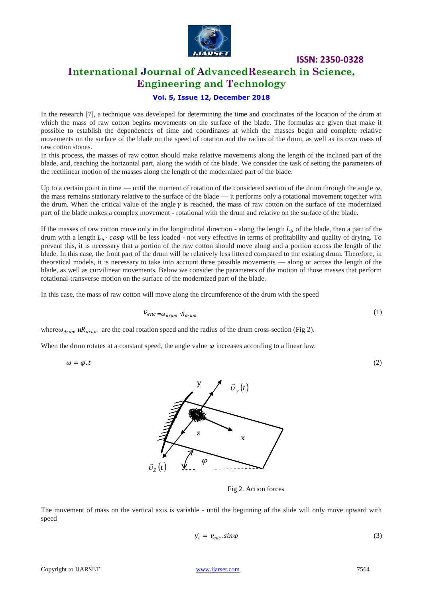

## **International Journal of AdvancedResearch in Science, Engineering and Technology**

### **Vol. 5, Issue 12, December 2018**

In the research [7], a technique was developed for determining the time and coordinates of the location of the drum at which the mass of raw cotton begins movements on the surface of the blade. The formulas are given that make it possible to establish the dependences of time and coordinates at which the masses begin and complete relative movements on the surface of the blade on the speed of rotation and the radius of the drum, as well as its own mass of raw cotton stones.

In this process, the masses of raw cotton should make relative movements along the length of the inclined part of the blade, and, reaching the horizontal part, along the width of the blade. We consider the task of setting the parameters of the rectilinear motion of the masses along the length of the modernized part of the blade.

Up to a certain point in time — until the moment of rotation of the considered section of the drum through the angle  $\varphi$ , the mass remains stationary relative to the surface of the blade — it performs only a rotational movement together with the drum. When the critical value of the angle  $\gamma$  is reached, the mass of raw cotton on the surface of the modernized part of the blade makes a complex movement - rotational with the drum and relative on the surface of the blade.

If the masses of raw cotton move only in the longitudinal direction - along the length  $L<sub>b</sub>$  of the blade, then a part of the drum with a length  $L_b \cdot cos\varphi$  will be less loaded - not very effective in terms of profitability and quality of drying. To prevent this, it is necessary that a portion of the raw cotton should move along and a portion across the length of the blade. In this case, the front part of the drum will be relatively less littered compared to the existing drum. Therefore, in theoretical models, it is necessary to take into account three possible movements — along or across the length of the blade, as well as curvilinear movements. Below we consider the parameters of the motion of those masses that perform rotational-transverse motion on the surface of the modernized part of the blade.

In this case, the mass of raw cotton will move along the circumference of the drum with the speed

$$
v_{enc} = \omega_{drum} \cdot R_{drum} \tag{1}
$$

where  $\omega_{drum}$  are the coal rotation speed and the radius of the drum cross-section (Fig 2).

When the drum rotates at a constant speed, the angle value  $\varphi$  increases according to a linear law.

$$
\omega = \varphi \cdot t \tag{2}
$$



Fig 2. Action forces

The movement of mass on the vertical axis is variable - until the beginning of the slide will only move upward with speed

$$
y_t = v_{enc} \sin \varphi \tag{3}
$$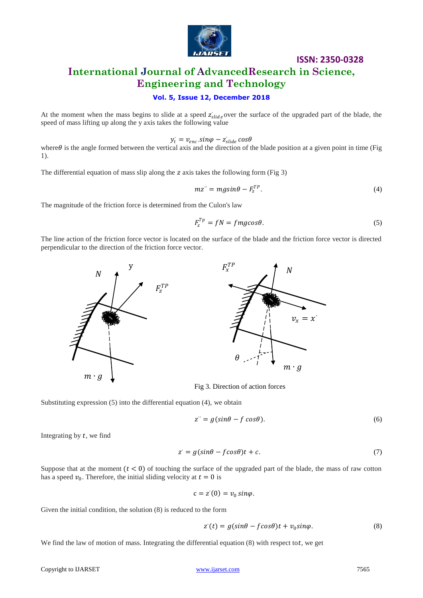

# **International Journal of AdvancedResearch in Science, Engineering and Technology**

### **Vol. 5, Issue 12, December 2018**

At the moment when the mass begins to slide at a speed  $\vec{z}_{\text{slide}}$  over the surface of the upgraded part of the blade, the speed of mass lifting up along the y axis takes the following value

$$
y_t = v_{enc}.sin\varphi - z_{slide} \cos\theta
$$

where  $\theta$  is the angle formed between the vertical axis and the direction of the blade position at a given point in time (Fig. 1).

The differential equation of mass slip along the z axis takes the following form (Fig 3)

$$
mz^{\prime\prime} = mg\sin\theta - F_z^{TP}.\tag{4}
$$

The magnitude of the friction force is determined from the Culon's law

$$
F_z^{Tp} = fN = fmg\cos\theta. \tag{5}
$$

The line action of the friction force vector is located on the surface of the blade and the friction force vector is directed perpendicular to the direction of the friction force vector.



Fig 3. Direction of action forces

Substituting expression (5) into the differential equation (4), we obtain

$$
z^{\cdot\cdot} = g(\sin\theta - f\cos\theta). \tag{6}
$$

Integrating by  $t$ , we find

$$
z = g(\sin\theta - f\cos\theta)t + c.
$$
 (7)

Suppose that at the moment  $(t < 0)$  of touching the surface of the upgraded part of the blade, the mass of raw cotton has a speed  $v_0$ . Therefore, the initial sliding velocity at  $t = 0$  is

$$
c=z'(0)=v_0\,sin\varphi.
$$

Given the initial condition, the solution (8) is reduced to the form

$$
z(t) = g(\sin\theta - f\cos\theta)t + v_0\sin\varphi.
$$
 (8)

We find the law of motion of mass. Integrating the differential equation  $(8)$  with respect tot, we get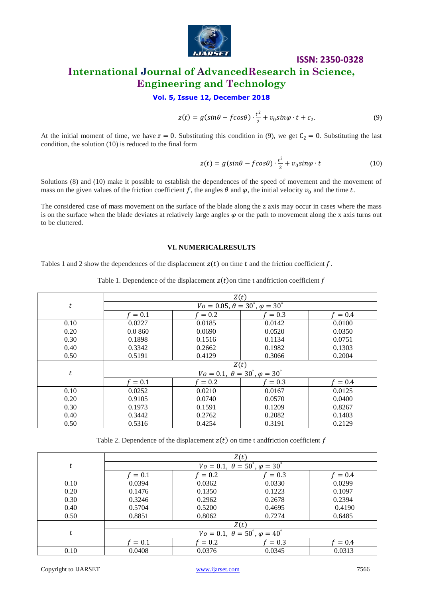

# **ISSN: 2350-0328 International Journal of AdvancedResearch in Science, Engineering and Technology**

### **Vol. 5, Issue 12, December 2018**

$$
z(t) = g(\sin\theta - f\cos\theta) \cdot \frac{t^2}{2} + v_0 \sin\varphi \cdot t + c_2.
$$
 (9)

At the initial moment of time, we have  $z = 0$ . Substituting this condition in (9), we get  $C_2 = 0$ . Substituting the last condition, the solution (10) is reduced to the final form

$$
z(t) = g(\sin\theta - f\cos\theta) \cdot \frac{t^2}{2} + v_0 \sin\varphi \cdot t \tag{10}
$$

Solutions (8) and (10) make it possible to establish the dependences of the speed of movement and the movement of mass on the given values of the friction coefficient f, the angles  $\theta$  and  $\varphi$ , the initial velocity  $v_0$  and the time t.

The considered case of mass movement on the surface of the blade along the z axis may occur in cases where the mass is on the surface when the blade deviates at relatively large angles  $\varphi$  or the path to movement along the x axis turns out to be cluttered.

### **VI. NUMERICALRESULTS**

Tables 1 and 2 show the dependences of the displacement  $z(t)$  on time t and the friction coefficient f.

|      | Z(t)                                                         |         |         |         |  |
|------|--------------------------------------------------------------|---------|---------|---------|--|
| t    | $Vo = 0.05, \theta = 30^{\circ}, \varphi = 30^{\circ}$       |         |         |         |  |
|      | $= 0.1$                                                      | $= 0.2$ | $= 0.3$ | $= 0.4$ |  |
| 0.10 | 0.0227                                                       | 0.0185  | 0.0142  | 0.0100  |  |
| 0.20 | 0.0 860                                                      | 0.0690  | 0.0520  | 0.0350  |  |
| 0.30 | 0.1898                                                       | 0.1516  | 0.1134  | 0.0751  |  |
| 0.40 | 0.3342                                                       | 0.2662  | 0.1982  | 0.1303  |  |
| 0.50 | 0.5191                                                       | 0.4129  | 0.3066  | 0.2004  |  |
|      | Z(t)                                                         |         |         |         |  |
| t    | $V_0 = 0.1, \ \theta = 30^{\degree}, \varphi = 30^{\degree}$ |         |         |         |  |
|      | $= 0.1$                                                      | $= 0.2$ | $= 0.3$ | $= 0.4$ |  |
| 0.10 | 0.0252                                                       | 0.0210  | 0.0167  | 0.0125  |  |
| 0.20 | 0.9105                                                       | 0.0740  | 0.0570  | 0.0400  |  |
| 0.30 | 0.1973                                                       | 0.1591  | 0.1209  | 0.8267  |  |
| 0.40 | 0.3442                                                       | 0.2762  | 0.2082  | 0.1403  |  |
| 0.50 | 0.5316                                                       | 0.4254  | 0.3191  | 0.2129  |  |

Table 1. Dependence of the displacement  $z(t)$  on time t and friction coefficient f

Table 2. Dependence of the displacement  $z(t)$  on time t and friction coefficient f

|      | Z(t)                                                             |         |         |         |  |  |  |  |
|------|------------------------------------------------------------------|---------|---------|---------|--|--|--|--|
| t    | $V_0 = 0.1, \ \theta = 50^{\circ}, \varphi = 30^{\circ}$         |         |         |         |  |  |  |  |
|      | $= 0.1$                                                          | $= 0.2$ | $= 0.3$ | $= 0.4$ |  |  |  |  |
| 0.10 | 0.0394                                                           | 0.0362  | 0.0330  | 0.0299  |  |  |  |  |
| 0.20 | 0.1476                                                           | 0.1350  | 0.1223  | 0.1097  |  |  |  |  |
| 0.30 | 0.3246                                                           | 0.2962  | 0.2678  | 0.2394  |  |  |  |  |
| 0.40 | 0.5704                                                           | 0.5200  | 0.4695  | 0.4190  |  |  |  |  |
| 0.50 | 0.8851                                                           | 0.8062  | 0.7274  | 0.6485  |  |  |  |  |
|      | Z(t)<br>$V_0 = 0.1, \ \theta = 50^{\circ}, \varphi = 40^{\circ}$ |         |         |         |  |  |  |  |
| t    |                                                                  |         |         |         |  |  |  |  |
|      | $= 0.1$                                                          | $= 0.2$ | $= 0.3$ | $= 0.4$ |  |  |  |  |
| 0.10 | 0.0408                                                           | 0.0376  | 0.0345  | 0.0313  |  |  |  |  |